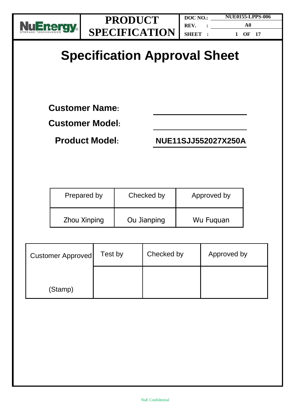

# **Specification Approval Sheet**

**Customer Name:** 

**Customer Model:**

**Product Model: NUE11SJJ552027X250A**

| Prepared by  | Checked by  | Approved by |
|--------------|-------------|-------------|
| Zhou Xinping | Ou Jianping | Wu Fuguan   |

| <b>Customer Approved</b> | Test by | Checked by | Approved by |
|--------------------------|---------|------------|-------------|
| (Stamp)                  |         |            |             |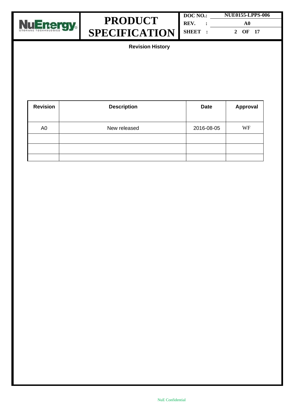



| DOC NO.: | <b>NUE0155-LPPS-006</b> |  |
|----------|-------------------------|--|
| REV.     | A0                      |  |
| SHEET :  | 2 OF 17                 |  |

**Revision History**

| <b>Revision</b> | <b>Description</b> | <b>Date</b> | <b>Approval</b> |
|-----------------|--------------------|-------------|-----------------|
| A <sub>0</sub>  | New released       | 2016-08-05  | WF              |
|                 |                    |             |                 |
|                 |                    |             |                 |
|                 |                    |             |                 |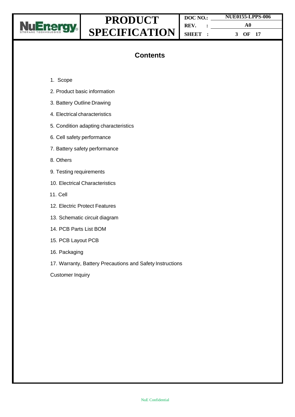

**DOC NO.: REV. : SHEET : NUE0155-LPPS-006 A0 3 OF 17**

# **Contents**

- 1. Scope
- 2. Product basic information
- 3. Battery Outline Drawing
- 4. Electrical characteristics
- 5. Condition adapting characteristics
- 6. Cell safety performance
- 7. Battery safety performance
- 8. Others
- 9. Testing requirements
- 10. Electrical Characteristics
- 11. Cell
- 12. Electric Protect Features
- 13. Schematic circuit diagram
- 14. PCB Parts List BOM
- 15. PCB Layout PCB
- 16. Packaging
- 17. Warranty, Battery Precautions and Safety Instructions

Customer Inquiry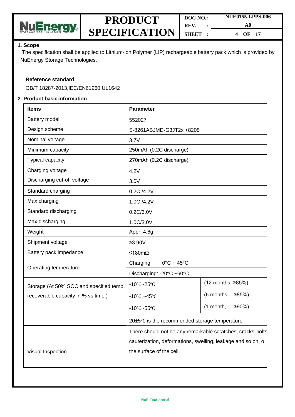

| DOC NO. | <b>NUE0155-LPPS-006</b> |  |
|---------|-------------------------|--|
| REV.    | A0                      |  |
| SHEET : | OF 17<br>4              |  |

#### **1. Scope**

The specification shall be applied to Lithium-ion Polymer (LIP) rechargeable battery pack which is provided by NuEnergy Storage Technologies.

#### **Reference standard**

GB/T 18287-2013,IEC/EN61960,UL1642

#### **2. Product basic information**

| <b>Items</b>                            | <b>Parameter</b>                                            |                         |  |  |  |
|-----------------------------------------|-------------------------------------------------------------|-------------------------|--|--|--|
| Battery model                           | 552027                                                      |                         |  |  |  |
| Design scheme                           | S-8261ABJMD-G3JT2x +8205                                    |                         |  |  |  |
| Nominal voltage                         | 3.7V                                                        |                         |  |  |  |
| Minimum capacity                        | 250mAh (0.2C discharge)                                     |                         |  |  |  |
| Typical capacity                        | 270mAh (0.2C discharge)                                     |                         |  |  |  |
| Charging voltage                        | 4.2V                                                        |                         |  |  |  |
| Discharging cut-off voltage             | 3.0V                                                        |                         |  |  |  |
| Standard charging                       | 0.2C /4.2V                                                  |                         |  |  |  |
| Max charging                            | 1.0C /4.2V                                                  |                         |  |  |  |
| Standard discharging                    | 0.2C/3.0V                                                   |                         |  |  |  |
| Max discharging                         | 1.0C/3.0V                                                   |                         |  |  |  |
| Weight                                  | Appr. 4.8g                                                  |                         |  |  |  |
| Shipment voltage                        | $≥3.90V$                                                    |                         |  |  |  |
| Battery pack impedance                  | ≤180mΩ                                                      |                         |  |  |  |
|                                         | Charging:<br>$0^{\circ}$ C ~ 45 $^{\circ}$ C                |                         |  |  |  |
| Operating temperature                   | Discharging: -20°C ~60°C                                    |                         |  |  |  |
| Storage (At 50% SOC and specified temp, | $-10^{\circ}$ C $-25^{\circ}$ C                             | (12 months, ≥85%)       |  |  |  |
| recoverable capacity in % vs time.)     | -10 $\degree$ C ~45 $\degree$ C                             | (6 months,<br>≥85%      |  |  |  |
|                                         | $-10^{\circ}$ C~55°C                                        | $≥90%$ )<br>$(1$ month, |  |  |  |
|                                         | $20\pm5\degree$ C is the recommended storage temperature    |                         |  |  |  |
|                                         | There should not be any remarkable scratches, cracks, bolts |                         |  |  |  |
|                                         | cauterization, deformations, swelling, leakage and so on, o |                         |  |  |  |
| Visual Inspection                       | the surface of the cell.                                    |                         |  |  |  |
|                                         |                                                             |                         |  |  |  |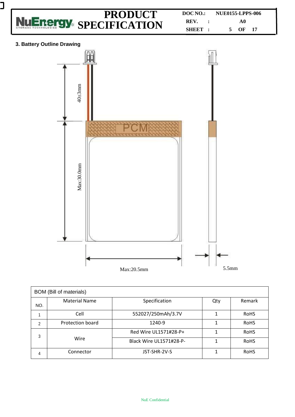

J

| <b>BOM</b> (Bill of materials) |                      |                         |     |             |  |
|--------------------------------|----------------------|-------------------------|-----|-------------|--|
| NO.                            | <b>Material Name</b> | Specification           | Qty | Remark      |  |
|                                | Cell                 | 552027/250mAh/3.7V      |     | <b>RoHS</b> |  |
| 2                              | Protection board     | 1240-9                  |     | <b>RoHS</b> |  |
| 3                              |                      | Red Wire UL1571#28-P+   |     | <b>RoHS</b> |  |
|                                | Wire                 | Black Wire UL1571#28-P- | 1   | <b>RoHS</b> |  |
| 4                              | Connector            | JST-SHR-2V-S            |     | <b>RoHS</b> |  |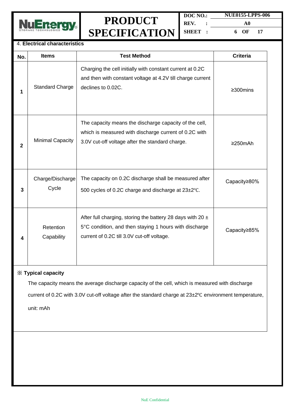

| DOC NO.: | <b>NUE0155-LPPS-006</b> |  |  |
|----------|-------------------------|--|--|
| REV.     | A0                      |  |  |
| SHEET :  | 6 OF<br>17              |  |  |

#### 4. **Electrical characteristics**

| No.          | <b>Items</b>              | <b>Test Method</b>                                                                                                                                                     | <b>Criteria</b> |
|--------------|---------------------------|------------------------------------------------------------------------------------------------------------------------------------------------------------------------|-----------------|
| 1            | <b>Standard Charge</b>    | Charging the cell initially with constant current at 0.2C<br>and then with constant voltage at 4.2V till charge current<br>declines to 0.02C.                          | ≥300mins        |
| $\mathbf{2}$ | Minimal Capacity          | The capacity means the discharge capacity of the cell,<br>which is measured with discharge current of 0.2C with<br>3.0V cut-off voltage after the standard charge.     | $\geq$ 250mAh   |
| 3            | Charge/Discharge<br>Cycle | The capacity on 0.2C discharge shall be measured after<br>500 cycles of 0.2C charge and discharge at 23±2°C.                                                           | Capacity≥80%    |
| 4            | Retention<br>Capability   | After full charging, storing the battery 28 days with 20 $\pm$<br>5°C condition, and then staying 1 hours with discharge<br>current of 0.2C till 3.0V cut-off voltage. | Capacity≥85%    |

### ※ **Typical capacity**

The capacity means the average discharge capacity of the cell, which is measured with discharge current of 0.2C with 3.0V cut-off voltage after the standard charge at 23±2℃ environment temperature,

unit: mAh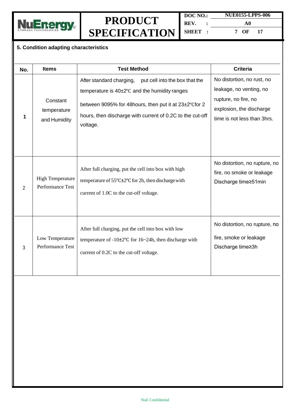

**DOC NO.: REV. : SHEET : NUE0155-LPPS-006 A0 7 OF 17**

### **5. Condition adapting characteristics**

| No. | <b>Items</b>                                | <b>Test Method</b>                                                                                                                                                                                                                                         | <b>Criteria</b>                                                                                                                          |
|-----|---------------------------------------------|------------------------------------------------------------------------------------------------------------------------------------------------------------------------------------------------------------------------------------------------------------|------------------------------------------------------------------------------------------------------------------------------------------|
| 1   | Constant<br>temperature<br>and Humidity     | After standard charging,<br>put cell into the box that the<br>temperature is $40\pm2\degree$ C and the humidity ranges<br>between 9095% for 48 hours, then put it at 23±2°C for 2<br>hours, then discharge with current of 0.2C to the cut-off<br>voltage. | No distortion, no rust, no<br>leakage, no venting, no<br>rupture, no fire, no<br>explosion, the discharge<br>time is not less than 3hrs. |
| 2   | <b>High Temperature</b><br>Performance Test | After full charging, put the cell into box with high<br>temperature of $55^{\circ}$ C $\pm$ 2°C for 2h, then discharge with<br>current of 1.0C to the cut-off voltage.                                                                                     | No distortion, no rupture, no<br>fire, no smoke or leakage<br>Discharge time≥51min                                                       |
| 3   | Low Temperature<br>Performance Test         | After full charging, put the cell into box with low<br>temperature of $-10\pm2^{\circ}$ C for 16~24h, then discharge with<br>current of 0.2C to the cut-off voltage.                                                                                       | No distortion, no rupture, no<br>fire, smoke or leakage<br>Discharge time≥3h                                                             |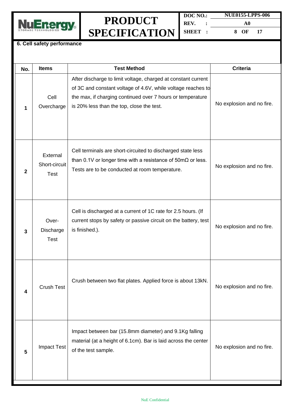

**DOC NO.: REV. : SHEET : NUE0155-LPPS-006 A0 8 OF 17**

#### **6. Cell safety performance**

| No.          | <b>Items</b>                             | <b>Test Method</b>                                                                                                                                                                                                                       | <b>Criteria</b>           |
|--------------|------------------------------------------|------------------------------------------------------------------------------------------------------------------------------------------------------------------------------------------------------------------------------------------|---------------------------|
| 1            | Cell<br>Overcharge                       | After discharge to limit voltage, charged at constant current<br>of 3C and constant voltage of 4.6V, while voltage reaches to<br>the max, if charging continued over 7 hours or temperature<br>is 20% less than the top, close the test. | No explosion and no fire. |
| $\mathbf{2}$ | External<br>Short-circuit<br><b>Test</b> | Cell terminals are short-circuited to discharged state less<br>than 0.1V or longer time with a resistance of $50 \text{m}\Omega$ or less.<br>Tests are to be conducted at room temperature.                                              | No explosion and no fire. |
| 3            | Over-<br>Discharge<br><b>Test</b>        | Cell is discharged at a current of 1C rate for 2.5 hours. (If<br>current stops by safety or passive circuit on the battery, test<br>is finished.).                                                                                       | No explosion and no fire. |
| 4            | <b>Crush Test</b>                        | Crush between two flat plates. Applied force is about 13kN.                                                                                                                                                                              | No explosion and no fire. |
| 5            | <b>Impact Test</b>                       | Impact between bar (15.8mm diameter) and 9.1Kg falling<br>material (at a height of 6.1cm). Bar is laid across the center<br>of the test sample.                                                                                          | No explosion and no fire. |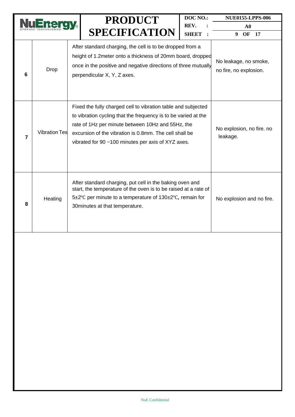|                          |                                                                                                                                                                                                                                       |  | <b>PRODUCT</b>                                                                                                                                                                                                                                                                                       | DOC NO.:     | <b>NUE0155-LPPS-006</b>               |
|--------------------------|---------------------------------------------------------------------------------------------------------------------------------------------------------------------------------------------------------------------------------------|--|------------------------------------------------------------------------------------------------------------------------------------------------------------------------------------------------------------------------------------------------------------------------------------------------------|--------------|---------------------------------------|
|                          |                                                                                                                                                                                                                                       |  |                                                                                                                                                                                                                                                                                                      | REV.         | $\bf{A0}$                             |
|                          |                                                                                                                                                                                                                                       |  | <b>SPECIFICATION</b>                                                                                                                                                                                                                                                                                 | <b>SHEET</b> | OF<br><b>17</b><br>9                  |
| 6                        | After standard charging, the cell is to be dropped from a<br>height of 1.2 meter onto a thickness of 20mm board, dropped<br>once in the positive and negative directions of three mutually<br>Drop<br>perpendicular X, Y, Z axes.     |  | No leakage, no smoke,<br>no fire, no explosion.                                                                                                                                                                                                                                                      |              |                                       |
| $\overline{\phantom{a}}$ | <b>Vibration Tes</b>                                                                                                                                                                                                                  |  | Fixed the fully charged cell to vibration table and subjected<br>to vibration cycling that the frequency is to be varied at the<br>rate of 1Hz per minute between 10Hz and 55Hz, the<br>excursion of the vibration is 0.8mm. The cell shall be<br>vibrated for 90 ~100 minutes per axis of XYZ axes. |              | No explosion, no fire. no<br>leakage. |
| 8                        | After standard charging, put cell in the baking oven and<br>start, the temperature of the oven is to be raised at a rate of<br>5±2°C per minute to a temperature of 130±2°C, remain for<br>Heating<br>30 minutes at that temperature. |  | No explosion and no fire.                                                                                                                                                                                                                                                                            |              |                                       |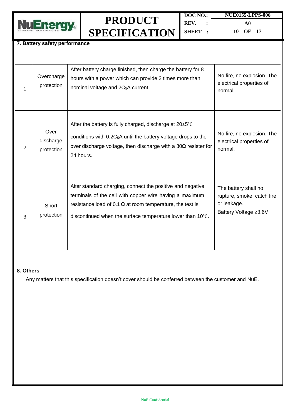

**DOC NO.: REV. : SHEET : A0 10 OF 17**

**NUE0155-LPPS-006**

#### **7. Battery safety performance**

| 1 | Overcharge<br>protection        | After battery charge finished, then charge the battery for 8<br>hours with a power which can provide 2 times more than<br>nominal voltage and 2C <sub>5</sub> A current.                                                                                | No fire, no explosion. The<br>electrical properties of<br>normal.                           |
|---|---------------------------------|---------------------------------------------------------------------------------------------------------------------------------------------------------------------------------------------------------------------------------------------------------|---------------------------------------------------------------------------------------------|
| 2 | Over<br>discharge<br>protection | After the battery is fully charged, discharge at $20\pm5^{\circ}$ C<br>conditions with 0.2C <sub>5</sub> A until the battery voltage drops to the<br>over discharge voltage, then discharge with a $30\Omega$ resister for<br>24 hours.                 | No fire, no explosion. The<br>electrical properties of<br>normal.                           |
| 3 | Short<br>protection             | After standard charging, connect the positive and negative<br>terminals of the cell with copper wire having a maximum<br>resistance load of 0.1 $\Omega$ at room temperature, the test is<br>discontinued when the surface temperature lower than 10°C. | The battery shall no<br>rupture, smoke, catch fire,<br>or leakage.<br>Battery Voltage ≥3.6V |

#### **8. Others**

Any matters that this specification doesn't cover should be conferred between the customer and NuE.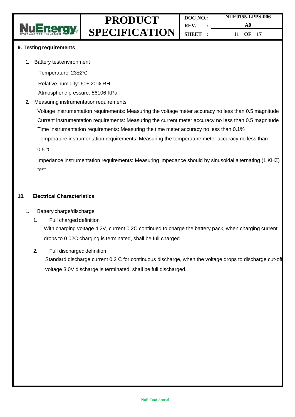

#### **9. Testing requirements**

1. Battery testenvironment

Temperature: 23±2℃

Relative humidity: 60± 20% RH

Atmospheric pressure: 86106 KPa

2. Measuring instrumentationrequirements

Voltage instrumentation requirements: Measuring the voltage meter accuracy no less than 0.5 magnitude Current instrumentation requirements: Measuring the current meter accuracy no less than 0.5 magnitude Time instrumentation requirements: Measuring the time meter accuracy no less than 0.1%

Temperature instrumentation requirements: Measuring the temperature meter accuracy no less than

0.5 ℃

Impedance instrumentation requirements: Measuring impedance should by sinusoidal alternating (1 KHZ) test

#### **10. Electrical Characteristics**

- 1. Battery charge/discharge
	- 1. Full charged definition With charging voltage 4.2V, current 0.2C continued to charge the battery pack, when charging current drops to 0.02C charging is terminated, shall be full charged.
	- 2. Full discharged definition

Standard discharge current 0.2 C for continuous discharge, when the voltage drops to discharge cut-off voltage 3.0V discharge is terminated, shall be full discharged.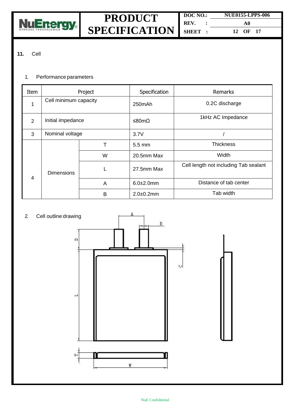

### **11.** Cell

#### 1. Performance parameters

| Item | Project               |   | Specification  | Remarks                               |
|------|-----------------------|---|----------------|---------------------------------------|
|      | Cell minimum capacity |   | 250mAh         | 0.2C discharge                        |
| 2    | Initial impedance     |   | ≤80mΩ          | 1kHz AC Impedance                     |
| 3    | Nominal voltage       |   | 3.7V           |                                       |
|      |                       | т | 5.5 mm         | <b>Thickness</b>                      |
|      | <b>Dimensions</b>     | W | 20.5mm Max     | Width                                 |
| 4    |                       | L | 27.5mm Max     | Cell length not including Tab sealant |
|      |                       | A | $6.0 + 2.0$ mm | Distance of tab center                |
|      |                       | B | $2.0 + 0.2$ mm | Tab width                             |

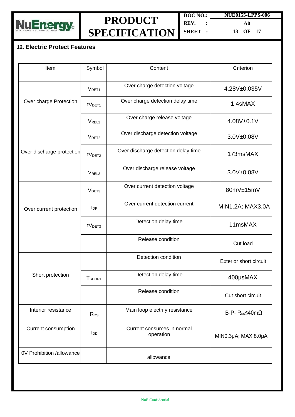

**DOC NO.: REV. : SHEET : NUE0155-LPPS-006 A0 13 OF 17**

### **12. Electric Protect Features**

| Item                      | Symbol                 | Content                                 | Criterion                            |
|---------------------------|------------------------|-----------------------------------------|--------------------------------------|
|                           | V <sub>DET1</sub>      | Over charge detection voltage           | 4.28V±0.035V                         |
| Over charge Protection    | tV <sub>DET1</sub>     | Over charge detection delay time        | 1.4sMAX                              |
|                           | V <sub>REL1</sub>      | Over charge release voltage             | 4.08V±0.1V                           |
|                           | V <sub>DET2</sub>      | Over discharge detection voltage        | 3.0V±0.08V                           |
| Over discharge protection | tV <sub>DET2</sub>     | Over discharge detection delay time     | 173msMAX                             |
|                           | V <sub>REL2</sub>      | Over discharge release voltage          | 3.0V±0.08V                           |
|                           | V <sub>DET3</sub>      | Over current detection voltage          | 80mV±15mV                            |
| Over current protection   | $I_{DP}$               | Over current detection current          | MIN1.2A; MAX3.0A                     |
|                           | tV <sub>DET3</sub>     | Detection delay time                    | 11msMAX                              |
|                           |                        | Release condition                       | Cut load                             |
|                           |                        | Detection condition                     | <b>Exterior short circuit</b>        |
| Short protection          | <b>T</b> SHORT         | Detection delay time                    | 400µsMAX                             |
|                           |                        | Release condition                       | Cut short circuit                    |
| Interior resistance       | $R_{DS}$               | Main loop electrify resistance          | B-P- $R_{DS} \leq 40 \text{m}\Omega$ |
| Current consumption       | <b>I</b> <sub>DD</sub> | Current consumes in normal<br>operation | MIN0.3µA; MAX 8.0µA                  |
| 0V Prohibition /allowance |                        | allowance                               |                                      |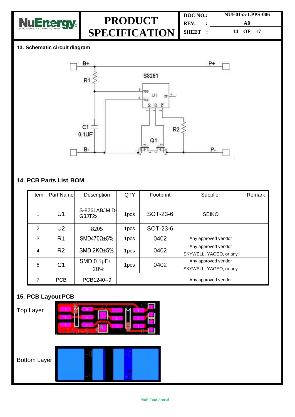

| DOC NO. | <b>NUE0155-LPPS-006</b> |  |  |
|---------|-------------------------|--|--|
| REV.    | A0                      |  |  |
| SHEET : | 14 OF 17                |  |  |

### **13. Schematic circuit diagram**



### **14. PCB Parts List BOM**

| Item | Part Name      | Description                | QTY              | Footprint | Supplier                                      | Remark |
|------|----------------|----------------------------|------------------|-----------|-----------------------------------------------|--------|
| 1    | U1             | S-8261ABJM D-<br>G3JT2x    | 1 <sub>pcs</sub> | SOT-23-6  | <b>SEIKO</b>                                  |        |
| 2    | U <sub>2</sub> | 8205                       | 1pcs             | SOT-23-6  |                                               |        |
| 3    | R <sub>1</sub> | SMD470 $\Omega$ ±5%        | 1 <sub>pcs</sub> | 0402      | Any approved vendor                           |        |
| 4    | R <sub>2</sub> | SMD 2KΩ $±5%$              | 1 <sub>pcs</sub> | 0402      | Any approved vendor<br>SKYWELL, YAGEO, or any |        |
| 5    | C <sub>1</sub> | $SMD 0.1 \mu F \pm$<br>20% | 1 <sub>pcs</sub> | 0402      | Any approved vendor<br>SKYWELL, YAGEO, or any |        |
| 7    | <b>PCB</b>     | PCB1240--9                 |                  |           | Any approved vendor                           |        |

# **15. PCB Layout PCB**

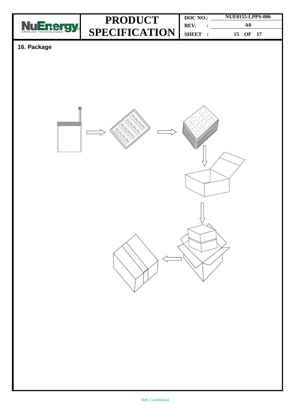

**DOC NO.: REV. : SHEET : NUE0155-LPPS-006 A0 15 OF 17**

# **16. Package**

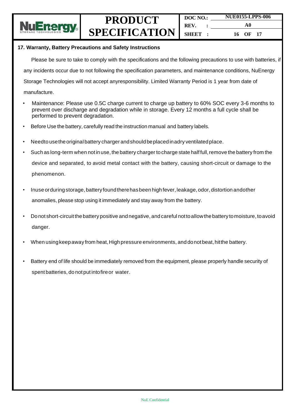

#### **17. Warranty, Battery Precautions and Safety Instructions**

Please be sure to take to comply with the specifications and the following precautions to use with batteries, if

any incidents occur due to not following the specification parameters, and maintenance conditions, NuEnergy

Storage Technologies will not accept anyresponsibility. Limited Warranty Period is 1 year from date of

- manufacture.
- Maintenance: Please use 0.5C charge current to charge up battery to 60% SOC every 3-6 months to prevent over discharge and degradation while in storage. Every 12 months a full cycle shall be performed to prevent degradation.
- Before Use the battery, carefully read the instruction manual and battery labels.
- Needto usetheoriginalbattery charger andshould beplacedinadry ventilatedplace.
- Such as long-term when not in use, the battery charger to charge state half full, remove the battery from the device and separated, to avoid metal contact with the battery, causing short-circuit or damage to the phenomenon.
- Inuse orduring storage, battery found there has been high fever, leakage, odor, distortion andother anomalies, please stop using it immediately and stay away from the battery.
- Donot short-circuitthebattery positive andnegative, andcareful nottoallowthe battery tomoisture, toavoid danger.
- When using keep away from heat, High pressure environments, and donot beat, hit the battery.
- Battery end of life should be immediately removed from the equipment, please properly handle security of spent batteries, do notput intofireor water.